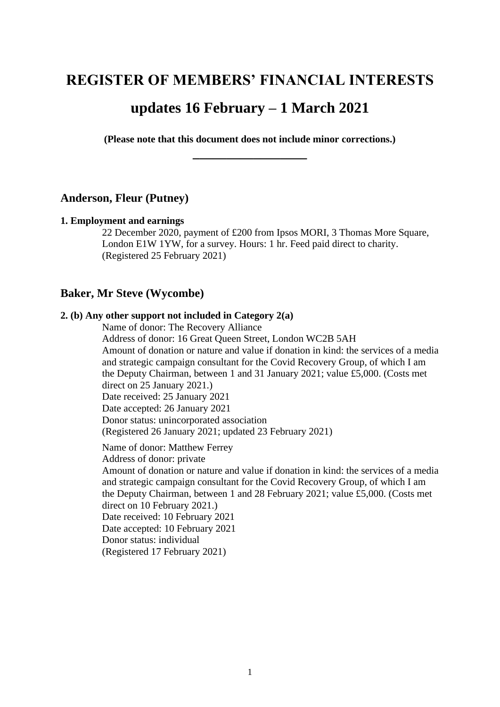# **REGISTER OF MEMBERS' FINANCIAL INTERESTS**

# **updates 16 February – 1 March 2021**

**(Please note that this document does not include minor corrections.) \_\_\_\_\_\_\_\_\_\_\_\_\_\_\_\_\_**

### **Anderson, Fleur (Putney)**

#### **1. Employment and earnings**

22 December 2020, payment of £200 from Ipsos MORI, 3 Thomas More Square, London E1W 1YW, for a survey. Hours: 1 hr. Feed paid direct to charity. (Registered 25 February 2021)

# **Baker, Mr Steve (Wycombe)**

### **2. (b) Any other support not included in Category 2(a)**

Name of donor: The Recovery Alliance

Address of donor: 16 Great Queen Street, London WC2B 5AH Amount of donation or nature and value if donation in kind: the services of a media and strategic campaign consultant for the Covid Recovery Group, of which I am the Deputy Chairman, between 1 and 31 January 2021; value £5,000. (Costs met direct on 25 January 2021.) Date received: 25 January 2021 Date accepted: 26 January 2021 Donor status: unincorporated association (Registered 26 January 2021; updated 23 February 2021)

Name of donor: Matthew Ferrey Address of donor: private Amount of donation or nature and value if donation in kind: the services of a media and strategic campaign consultant for the Covid Recovery Group, of which I am the Deputy Chairman, between 1 and 28 February 2021; value £5,000. (Costs met direct on 10 February 2021.) Date received: 10 February 2021 Date accepted: 10 February 2021 Donor status: individual (Registered 17 February 2021)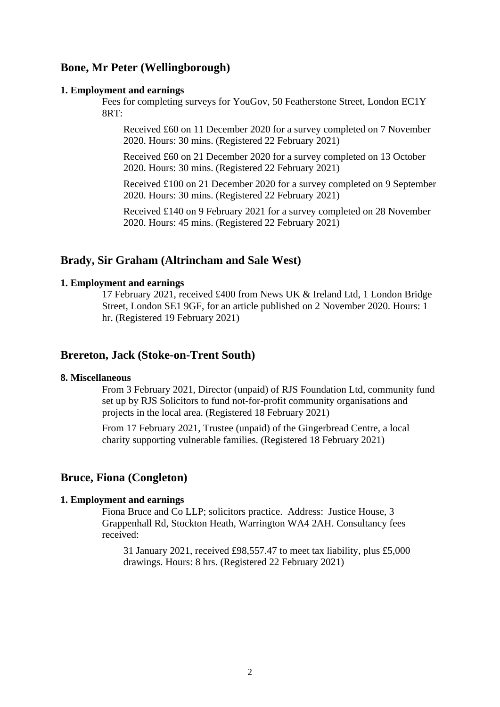# **Bone, Mr Peter (Wellingborough)**

#### **1. Employment and earnings**

Fees for completing surveys for YouGov, 50 Featherstone Street, London EC1Y 8RT:

Received £60 on 11 December 2020 for a survey completed on 7 November 2020. Hours: 30 mins. (Registered 22 February 2021)

Received £60 on 21 December 2020 for a survey completed on 13 October 2020. Hours: 30 mins. (Registered 22 February 2021)

Received £100 on 21 December 2020 for a survey completed on 9 September 2020. Hours: 30 mins. (Registered 22 February 2021)

Received £140 on 9 February 2021 for a survey completed on 28 November 2020. Hours: 45 mins. (Registered 22 February 2021)

### **Brady, Sir Graham (Altrincham and Sale West)**

#### **1. Employment and earnings**

17 February 2021, received £400 from News UK & Ireland Ltd, 1 London Bridge Street, London SE1 9GF, for an article published on 2 November 2020. Hours: 1 hr. (Registered 19 February 2021)

# **Brereton, Jack (Stoke-on-Trent South)**

### **8. Miscellaneous**

From 3 February 2021, Director (unpaid) of RJS Foundation Ltd, community fund set up by RJS Solicitors to fund not-for-profit community organisations and projects in the local area. (Registered 18 February 2021)

From 17 February 2021, Trustee (unpaid) of the Gingerbread Centre, a local charity supporting vulnerable families. (Registered 18 February 2021)

### **Bruce, Fiona (Congleton)**

### **1. Employment and earnings**

Fiona Bruce and Co LLP; solicitors practice. Address: Justice House, 3 Grappenhall Rd, Stockton Heath, Warrington WA4 2AH. Consultancy fees received:

31 January 2021, received £98,557.47 to meet tax liability, plus £5,000 drawings. Hours: 8 hrs. (Registered 22 February 2021)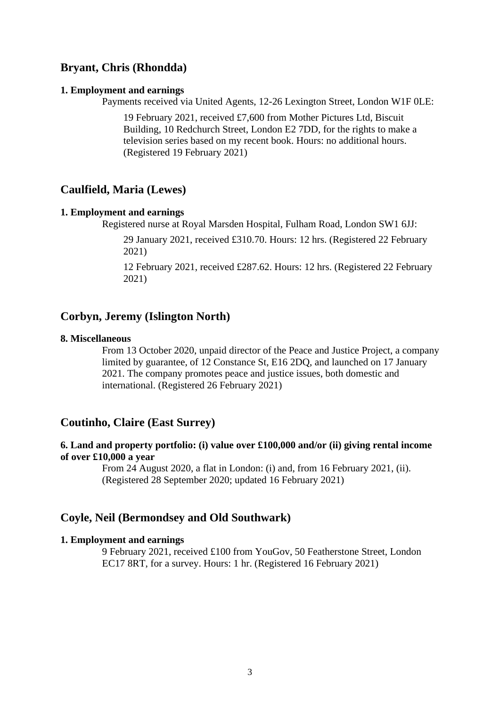# **Bryant, Chris (Rhondda)**

#### **1. Employment and earnings**

Payments received via United Agents, 12-26 Lexington Street, London W1F 0LE:

19 February 2021, received £7,600 from Mother Pictures Ltd, Biscuit Building, 10 Redchurch Street, London E2 7DD, for the rights to make a television series based on my recent book. Hours: no additional hours. (Registered 19 February 2021)

# **Caulfield, Maria (Lewes)**

### **1. Employment and earnings**

Registered nurse at Royal Marsden Hospital, Fulham Road, London SW1 6JJ:

29 January 2021, received £310.70. Hours: 12 hrs. (Registered 22 February 2021)

12 February 2021, received £287.62. Hours: 12 hrs. (Registered 22 February 2021)

### **Corbyn, Jeremy (Islington North)**

#### **8. Miscellaneous**

From 13 October 2020, unpaid director of the Peace and Justice Project, a company limited by guarantee, of 12 Constance St, E16 2DQ, and launched on 17 January 2021. The company promotes peace and justice issues, both domestic and international. (Registered 26 February 2021)

# **Coutinho, Claire (East Surrey)**

### **6. Land and property portfolio: (i) value over £100,000 and/or (ii) giving rental income of over £10,000 a year**

From 24 August 2020, a flat in London: (i) and, from 16 February 2021, (ii). (Registered 28 September 2020; updated 16 February 2021)

### **Coyle, Neil (Bermondsey and Old Southwark)**

#### **1. Employment and earnings**

9 February 2021, received £100 from YouGov, 50 Featherstone Street, London EC17 8RT, for a survey. Hours: 1 hr. (Registered 16 February 2021)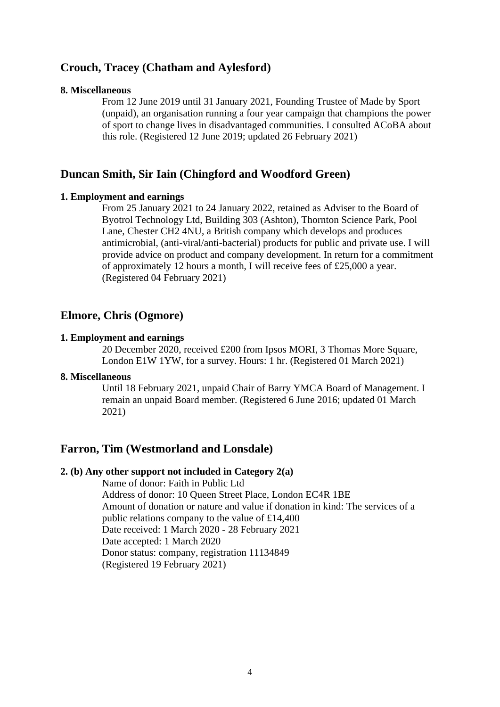# **Crouch, Tracey (Chatham and Aylesford)**

#### **8. Miscellaneous**

From 12 June 2019 until 31 January 2021, Founding Trustee of Made by Sport (unpaid), an organisation running a four year campaign that champions the power of sport to change lives in disadvantaged communities. I consulted ACoBA about this role. (Registered 12 June 2019; updated 26 February 2021)

# **Duncan Smith, Sir Iain (Chingford and Woodford Green)**

#### **1. Employment and earnings**

From 25 January 2021 to 24 January 2022, retained as Adviser to the Board of Byotrol Technology Ltd, Building 303 (Ashton), Thornton Science Park, Pool Lane, Chester CH2 4NU, a British company which develops and produces antimicrobial, (anti-viral/anti-bacterial) products for public and private use. I will provide advice on product and company development. In return for a commitment of approximately 12 hours a month, I will receive fees of £25,000 a year. (Registered 04 February 2021)

### **Elmore, Chris (Ogmore)**

#### **1. Employment and earnings**

20 December 2020, received £200 from Ipsos MORI, 3 Thomas More Square, London E1W 1YW, for a survey. Hours: 1 hr. (Registered 01 March 2021)

### **8. Miscellaneous**

Until 18 February 2021, unpaid Chair of Barry YMCA Board of Management. I remain an unpaid Board member. (Registered 6 June 2016; updated 01 March 2021)

# **Farron, Tim (Westmorland and Lonsdale)**

#### **2. (b) Any other support not included in Category 2(a)**

Name of donor: Faith in Public Ltd Address of donor: 10 Queen Street Place, London EC4R 1BE Amount of donation or nature and value if donation in kind: The services of a public relations company to the value of £14,400 Date received: 1 March 2020 - 28 February 2021 Date accepted: 1 March 2020 Donor status: company, registration 11134849 (Registered 19 February 2021)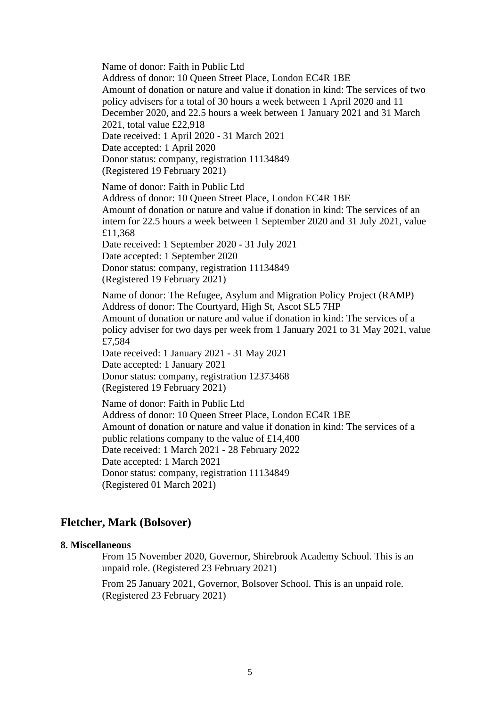Name of donor: Faith in Public Ltd Address of donor: 10 Queen Street Place, London EC4R 1BE Amount of donation or nature and value if donation in kind: The services of two policy advisers for a total of 30 hours a week between 1 April 2020 and 11 December 2020, and 22.5 hours a week between 1 January 2021 and 31 March 2021, total value £22,918 Date received: 1 April 2020 - 31 March 2021 Date accepted: 1 April 2020 Donor status: company, registration 11134849 (Registered 19 February 2021) Name of donor: Faith in Public Ltd Address of donor: 10 Queen Street Place, London EC4R 1BE Amount of donation or nature and value if donation in kind: The services of an intern for 22.5 hours a week between 1 September 2020 and 31 July 2021, value £11,368 Date received: 1 September 2020 - 31 July 2021 Date accepted: 1 September 2020 Donor status: company, registration 11134849 (Registered 19 February 2021) Name of donor: The Refugee, Asylum and Migration Policy Project (RAMP) Address of donor: The Courtyard, High St, Ascot SL5 7HP Amount of donation or nature and value if donation in kind: The services of a policy adviser for two days per week from 1 January 2021 to 31 May 2021, value £7,584 Date received: 1 January 2021 - 31 May 2021 Date accepted: 1 January 2021 Donor status: company, registration 12373468 (Registered 19 February 2021) Name of donor: Faith in Public Ltd Address of donor: 10 Queen Street Place, London EC4R 1BE Amount of donation or nature and value if donation in kind: The services of a public relations company to the value of £14,400 Date received: 1 March 2021 - 28 February 2022 Date accepted: 1 March 2021

Donor status: company, registration 11134849 (Registered 01 March 2021)

# **Fletcher, Mark (Bolsover)**

### **8. Miscellaneous**

From 15 November 2020, Governor, Shirebrook Academy School. This is an unpaid role. (Registered 23 February 2021)

From 25 January 2021, Governor, Bolsover School. This is an unpaid role. (Registered 23 February 2021)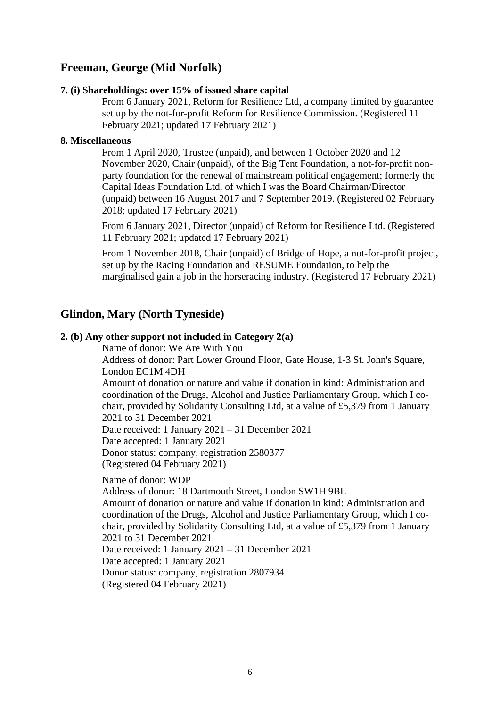# **Freeman, George (Mid Norfolk)**

### **7. (i) Shareholdings: over 15% of issued share capital**

From 6 January 2021, Reform for Resilience Ltd, a company limited by guarantee set up by the not-for-profit Reform for Resilience Commission. (Registered 11 February 2021; updated 17 February 2021)

### **8. Miscellaneous**

From 1 April 2020, Trustee (unpaid), and between 1 October 2020 and 12 November 2020, Chair (unpaid), of the Big Tent Foundation, a not-for-profit nonparty foundation for the renewal of mainstream political engagement; formerly the Capital Ideas Foundation Ltd, of which I was the Board Chairman/Director (unpaid) between 16 August 2017 and 7 September 2019. (Registered 02 February 2018; updated 17 February 2021)

From 6 January 2021, Director (unpaid) of Reform for Resilience Ltd. (Registered 11 February 2021; updated 17 February 2021)

From 1 November 2018, Chair (unpaid) of Bridge of Hope, a not-for-profit project, set up by the Racing Foundation and RESUME Foundation, to help the marginalised gain a job in the horseracing industry. (Registered 17 February 2021)

# **Glindon, Mary (North Tyneside)**

### **2. (b) Any other support not included in Category 2(a)**

Name of donor: We Are With You

Address of donor: Part Lower Ground Floor, Gate House, 1-3 St. John's Square, London EC1M 4DH

Amount of donation or nature and value if donation in kind: Administration and coordination of the Drugs, Alcohol and Justice Parliamentary Group, which I cochair, provided by Solidarity Consulting Ltd, at a value of £5,379 from 1 January 2021 to 31 December 2021

Date received: 1 January 2021 – 31 December 2021

Date accepted: 1 January 2021 Donor status: company, registration 2580377

(Registered 04 February 2021)

Name of donor: WDP

Address of donor: 18 Dartmouth Street, London SW1H 9BL

Amount of donation or nature and value if donation in kind: Administration and coordination of the Drugs, Alcohol and Justice Parliamentary Group, which I cochair, provided by Solidarity Consulting Ltd, at a value of £5,379 from 1 January 2021 to 31 December 2021

Date received: 1 January 2021 – 31 December 2021 Date accepted: 1 January 2021 Donor status: company, registration 2807934

(Registered 04 February 2021)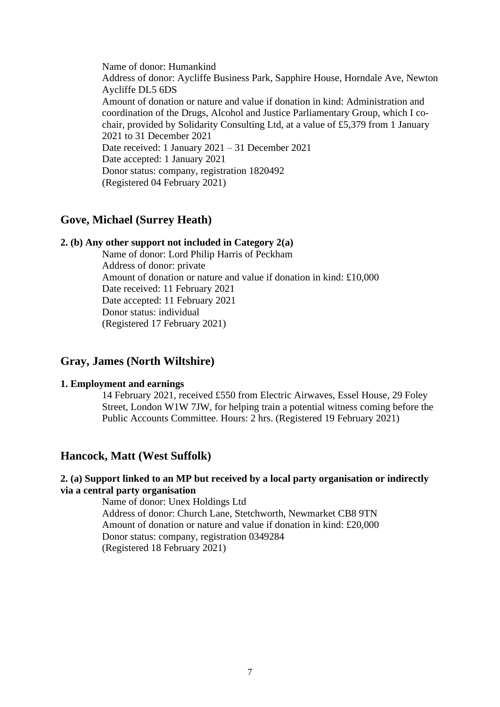Name of donor: Humankind Address of donor: Aycliffe Business Park, Sapphire House, Horndale Ave, Newton Aycliffe DL5 6DS Amount of donation or nature and value if donation in kind: Administration and coordination of the Drugs, Alcohol and Justice Parliamentary Group, which I cochair, provided by Solidarity Consulting Ltd, at a value of £5,379 from 1 January 2021 to 31 December 2021 Date received: 1 January 2021 – 31 December 2021 Date accepted: 1 January 2021 Donor status: company, registration 1820492 (Registered 04 February 2021)

# **Gove, Michael (Surrey Heath)**

### **2. (b) Any other support not included in Category 2(a)**

Name of donor: Lord Philip Harris of Peckham Address of donor: private Amount of donation or nature and value if donation in kind: £10,000 Date received: 11 February 2021 Date accepted: 11 February 2021 Donor status: individual (Registered 17 February 2021)

# **Gray, James (North Wiltshire)**

### **1. Employment and earnings**

14 February 2021, received £550 from Electric Airwaves, Essel House, 29 Foley Street, London W1W 7JW, for helping train a potential witness coming before the Public Accounts Committee. Hours: 2 hrs. (Registered 19 February 2021)

# **Hancock, Matt (West Suffolk)**

### **2. (a) Support linked to an MP but received by a local party organisation or indirectly via a central party organisation**

Name of donor: Unex Holdings Ltd Address of donor: Church Lane, Stetchworth, Newmarket CB8 9TN Amount of donation or nature and value if donation in kind: £20,000 Donor status: company, registration 0349284 (Registered 18 February 2021)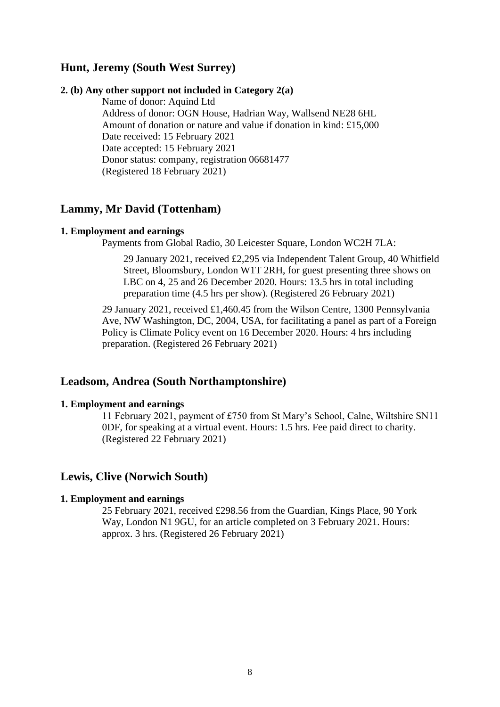# **Hunt, Jeremy (South West Surrey)**

### **2. (b) Any other support not included in Category 2(a)**

Name of donor: Aquind Ltd Address of donor: OGN House, Hadrian Way, Wallsend NE28 6HL Amount of donation or nature and value if donation in kind: £15,000 Date received: 15 February 2021 Date accepted: 15 February 2021 Donor status: company, registration 06681477 (Registered 18 February 2021)

# **Lammy, Mr David (Tottenham)**

#### **1. Employment and earnings**

Payments from Global Radio, 30 Leicester Square, London WC2H 7LA:

29 January 2021, received £2,295 via Independent Talent Group, 40 Whitfield Street, Bloomsbury, London W1T 2RH, for guest presenting three shows on LBC on 4, 25 and 26 December 2020. Hours: 13.5 hrs in total including preparation time (4.5 hrs per show). (Registered 26 February 2021)

29 January 2021, received £1,460.45 from the Wilson Centre, 1300 Pennsylvania Ave, NW Washington, DC, 2004, USA, for facilitating a panel as part of a Foreign Policy is Climate Policy event on 16 December 2020. Hours: 4 hrs including preparation. (Registered 26 February 2021)

# **Leadsom, Andrea (South Northamptonshire)**

#### **1. Employment and earnings**

11 February 2021, payment of £750 from St Mary's School, Calne, Wiltshire SN11 0DF, for speaking at a virtual event. Hours: 1.5 hrs. Fee paid direct to charity. (Registered 22 February 2021)

### **Lewis, Clive (Norwich South)**

### **1. Employment and earnings**

25 February 2021, received £298.56 from the Guardian, Kings Place, 90 York Way, London N1 9GU, for an article completed on 3 February 2021. Hours: approx. 3 hrs. (Registered 26 February 2021)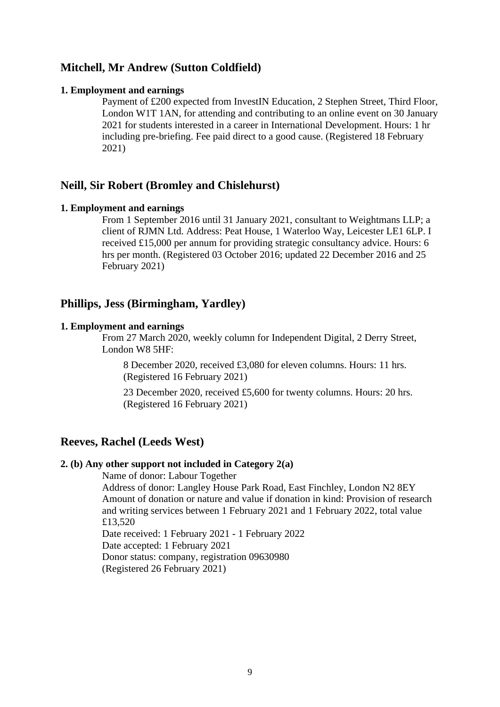# **Mitchell, Mr Andrew (Sutton Coldfield)**

### **1. Employment and earnings**

Payment of £200 expected from InvestIN Education, 2 Stephen Street, Third Floor, London W1T 1AN, for attending and contributing to an online event on 30 January 2021 for students interested in a career in International Development. Hours: 1 hr including pre-briefing. Fee paid direct to a good cause. (Registered 18 February 2021)

# **Neill, Sir Robert (Bromley and Chislehurst)**

### **1. Employment and earnings**

From 1 September 2016 until 31 January 2021, consultant to Weightmans LLP; a client of RJMN Ltd. Address: Peat House, 1 Waterloo Way, Leicester LE1 6LP. I received £15,000 per annum for providing strategic consultancy advice. Hours: 6 hrs per month. (Registered 03 October 2016; updated 22 December 2016 and 25 February 2021)

## **Phillips, Jess (Birmingham, Yardley)**

### **1. Employment and earnings**

From 27 March 2020, weekly column for Independent Digital, 2 Derry Street, London W8 5HF:

8 December 2020, received £3,080 for eleven columns. Hours: 11 hrs. (Registered 16 February 2021)

23 December 2020, received £5,600 for twenty columns. Hours: 20 hrs. (Registered 16 February 2021)

### **Reeves, Rachel (Leeds West)**

### **2. (b) Any other support not included in Category 2(a)**

Name of donor: Labour Together Address of donor: Langley House Park Road, East Finchley, London N2 8EY Amount of donation or nature and value if donation in kind: Provision of research and writing services between 1 February 2021 and 1 February 2022, total value £13,520 Date received: 1 February 2021 - 1 February 2022 Date accepted: 1 February 2021

Donor status: company, registration 09630980 (Registered 26 February 2021)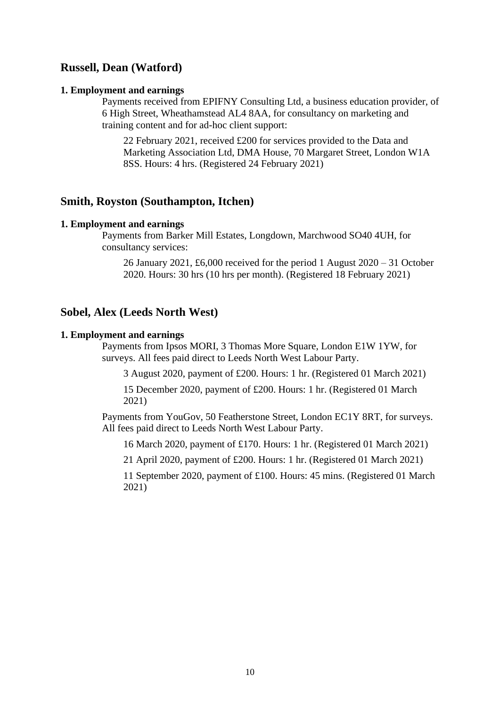# **Russell, Dean (Watford)**

#### **1. Employment and earnings**

Payments received from EPIFNY Consulting Ltd, a business education provider, of 6 High Street, Wheathamstead AL4 8AA, for consultancy on marketing and training content and for ad-hoc client support:

22 February 2021, received £200 for services provided to the Data and Marketing Association Ltd, DMA House, 70 Margaret Street, London W1A 8SS. Hours: 4 hrs. (Registered 24 February 2021)

### **Smith, Royston (Southampton, Itchen)**

#### **1. Employment and earnings**

Payments from Barker Mill Estates, Longdown, Marchwood SO40 4UH, for consultancy services:

26 January 2021, £6,000 received for the period 1 August 2020 – 31 October 2020. Hours: 30 hrs (10 hrs per month). (Registered 18 February 2021)

### **Sobel, Alex (Leeds North West)**

#### **1. Employment and earnings**

Payments from Ipsos MORI, 3 Thomas More Square, London E1W 1YW, for surveys. All fees paid direct to Leeds North West Labour Party.

3 August 2020, payment of £200. Hours: 1 hr. (Registered 01 March 2021)

15 December 2020, payment of £200. Hours: 1 hr. (Registered 01 March 2021)

Payments from YouGov, 50 Featherstone Street, London EC1Y 8RT, for surveys. All fees paid direct to Leeds North West Labour Party.

16 March 2020, payment of £170. Hours: 1 hr. (Registered 01 March 2021)

21 April 2020, payment of £200. Hours: 1 hr. (Registered 01 March 2021)

11 September 2020, payment of £100. Hours: 45 mins. (Registered 01 March 2021)